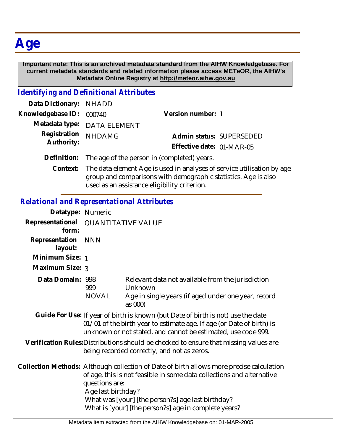# **Age**

#### **Important note: This is an archived metadata standard from the AIHW Knowledgebase. For current metadata standards and related information please access METeOR, the AIHW's Metadata Online Registry at http://meteor.aihw.gov.au**

#### *Identifying and Definitional Attributes*

| Data Dictionary: NHADD   |                                                         |                           |                          |
|--------------------------|---------------------------------------------------------|---------------------------|--------------------------|
| Knowledgebase ID: 000740 |                                                         | Version number: 1         |                          |
|                          | Metadata type: DATA ELEMENT                             |                           |                          |
| Registration             | <b>NHDAMG</b>                                           |                           | Admin status: SUPERSEDED |
| Authority:               |                                                         | Effective date: 01-MAR-05 |                          |
|                          | Definition: The age of the person in (completed) years. |                           |                          |
|                          |                                                         |                           |                          |

Context: The data element Age is used in analyses of service utilisation by age group and comparisons with demographic statistics. Age is also used as an assistance eligibility criterion.

## *Relational and Representational Attributes*

| Datatype: Numeric         |                                      |                                                                                                                                                                                                                                                                                |  |
|---------------------------|--------------------------------------|--------------------------------------------------------------------------------------------------------------------------------------------------------------------------------------------------------------------------------------------------------------------------------|--|
| Representational<br>form: | <b>QUANTITATIVE VALUE</b>            |                                                                                                                                                                                                                                                                                |  |
| Representation<br>layout: | <b>NNN</b>                           |                                                                                                                                                                                                                                                                                |  |
| Minimum Size: 1           |                                      |                                                                                                                                                                                                                                                                                |  |
| Maximum Size: 3           |                                      |                                                                                                                                                                                                                                                                                |  |
| Data Domain: 998          | 999                                  | Relevant data not available from the jurisdiction<br>Unknown                                                                                                                                                                                                                   |  |
|                           | NOVAL                                | Age in single years (if aged under one year, record<br>as 000)                                                                                                                                                                                                                 |  |
|                           |                                      | Guide For Use: If year of birth is known (but Date of birth is not) use the date<br>01/01 of the birth year to estimate age. If age (or Date of birth) is<br>unknown or not stated, and cannot be estimated, use code 999.                                                     |  |
|                           |                                      | Verification Rules: Distributions should be checked to ensure that missing values are<br>being recorded correctly, and not as zeros.                                                                                                                                           |  |
|                           | questions are:<br>Age last birthday? | Collection Methods: Although collection of Date of birth allows more precise calculation<br>of age, this is not feasible in some data collections and alternative<br>What was [your] [the person?s] age last birthday?<br>What is [your] [the person?s] age in complete years? |  |